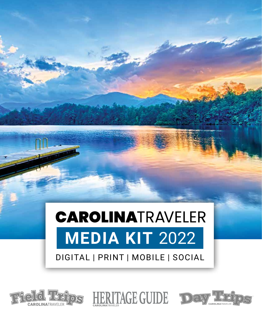# **CAROLINATRAVELER MEDIA KIT** 2022 DIGITAL | PRINT | MOBILE | SOCIAL



**®**



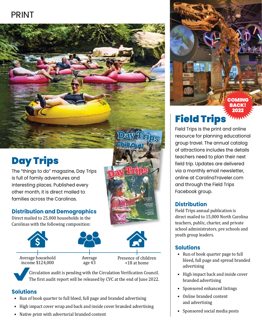### PRINT



# Day Trips

The "things to do" magazine, Day Trips is full of family adventures and interesting places. Published every other month, it is direct mailed to families across the Carolinas.

#### **Distribution and Demographics**

Direct mailed to 25,000 households in the Carolinas with the following composition:



Average household income \$124,000

Average age 43

Presence of children <18 at home

**DAY TRIPS Back To School 2021**<sup>|</sup>CarolinaTraveler.com <sup>1</sup> CarolinaTraveler.com

Weekend in Charles **History, Baseball, & Ghosts**  $\overline{A}$  $\sim$  M  $\sim$ 

 Circulation audit is pending with the Circulation Verification Council. The first audit report will be released by CVC at the end of June 2022.

#### **Solutions**

- Run of book quarter to full bleed, full page and branded advertising
- High impact cover wrap and back and inside cover branded advertising
- Native print with advertorial branded content

### Field Trips 2022

**OMING** BACK!

Field Trips is the print and online resource for planning educational group travel. The annual catalog of attractions includes the details teachers need to plan their next field trip. Updates are delivered via a monthly email newsletter, online at CarolinaTraveler.com and through the Field Trips Facebook group.

#### **Distribution**

Field Trips annual publication is direct mailed to 15,000 North Carolina teachers, public, charter, and private school administrators, pre schools and youth group leaders.

#### **Solutions**

- Run of book quarter page to full bleed, full page and spread branded advertising
- High impact back and inside cover branded advertising
- Sponsored enhanced listings
- Online branded content and advertising
- Sponsored social media posts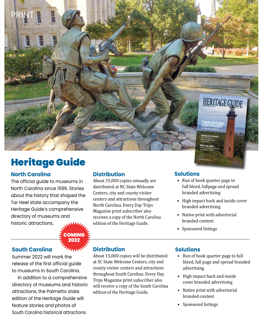

## Heritage Guide

#### **North Carolina**

The official guide to museums in North Carolina since 1996. Stories about the history that shaped the Tar Heel state accompany the Heritage Guide's comprehensive directory of museums and historic attractions.

> **COMING** 2022

#### **South Carolina**

Summer 2022 will mark the release of the first official guide to museums in South Carolina.

 In addition to a comprehensive directory of museums and historic attractions, the Palmetto state edition of the Heritage Guide will feature stories and photos of South Carolina historical attractions.

#### **Distribution**

About 35,000 copies annually are distributed at NC State Welcome Centers, city and county visitor centers and attractions throughout North Carolina. Every Day Trips Magazine print subscriber also receives a copy of the North Carolina edition of the Heritage Guide.

#### **Solutions**

• Run of book quarter page to full bleed, fullpage and spread branded advertising

CarolinaTraveler.com

- High impact back and inside cover branded advertising
- Native print with advertorial branded content
- Sponsored listings

# **Distribution**

About 15,000 copies will be distributed at SC State Welcome Centers, city and county visitor centers and attractions throughout South Carolina. Every Day Trips Magazine print subscriber also will receive a copy of the South Carolina edition of the Heritage Guide.

#### **Solutions**

- Run of book quarter page to full bleed, full page and spread branded advertising
- High impact back and inside cover branded advertising
- Native print with advertorial branded content
- Sponsored listings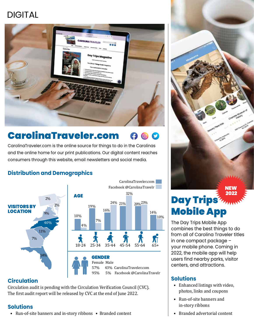### DIGITAL



#### CarolinaTraveler.com  $\omega$

CarolinaTraveler.com is the online source for things to do in the Carolinas and the online home for our print publications. Our digital content reaches consumers through this website, email newsletters and social media.

#### **Distribution and Demographics**



#### **Circulation**

Circulation audit is pending with the Circulation Verification Council (CVC). The first audit report will be released by CVC at the end of June 2022.

#### **Solutions**

• Run-of-site banners and in-story ribbons • Branded content

NEW 2022

# Day Trips<sup>7</sup>77100 Mobile App

The Day Trips Mobile App combines the best things to do from all of Carolina Traveler titles in one compact package – your mobile phone. Coming in 2022, the mobile app will help users find nearby parks, visitor centers, and attractions.

#### **Solutions**

- Enhanced listings with video, photos, links and coupons
- Run-of-site banners and in-story ribbons
- Branded advertorial content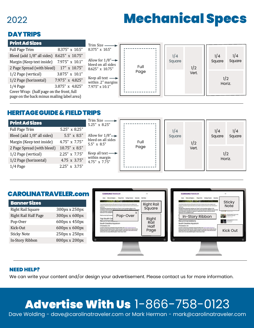### 2022

# Mechanical Specs

#### DAY TRIPS

| <b>Print Ad Sizes</b>                      |                         | Trim Size -                                           |      |        |       |               |        |
|--------------------------------------------|-------------------------|-------------------------------------------------------|------|--------|-------|---------------|--------|
| Full Page Trim                             | $8.375'' \times 10.5''$ | 8.375" x 10.5"                                        |      |        |       |               |        |
| Bleed (add 1/8" all sides) 8.625" x 10.75" |                         |                                                       |      | 1/4    |       | 1/4           | 1/4    |
| Margin (Keep text inside) 7.975" x 10.1"   |                         | Allow for $1/8" \rightarrow$<br>bleed on all sides    |      | Square |       | Square        | Square |
| 2 Page Spread (with bleed) 17" x 10.75"    |                         | 8.625" x 10.75"                                       | Full |        | 1/2   |               |        |
| 1/2 Page (vertical)                        | 3.875" x 10.1"          |                                                       | Page |        | Vert. |               |        |
| 1/2 Page (horizontal)                      | 7.975" x 4.825"         | Keep all text $\longrightarrow$<br>within .2" margins |      |        |       | 1/2<br>Horiz. |        |
| $1/4$ Page                                 | 3.875" x 4.825"         | $7.975'' \times 10.1''$                               |      |        |       |               |        |
| Cover Wrap: (half page on the front, full  |                         |                                                       |      |        |       |               |        |
| page on the back minus mailing label area) |                         |                                                       |      |        |       |               |        |

#### HERITAGE GUIDE & FIELD TRIPS





#### NEED HELP?

We can write your content and/or design your advertisement. Please contact us for more information.

# Advertise With Us 1-866-758-0123

Dave Wolding - dave@carolinatraveler.com or Mark Herman - mark@carolinatraveler.com